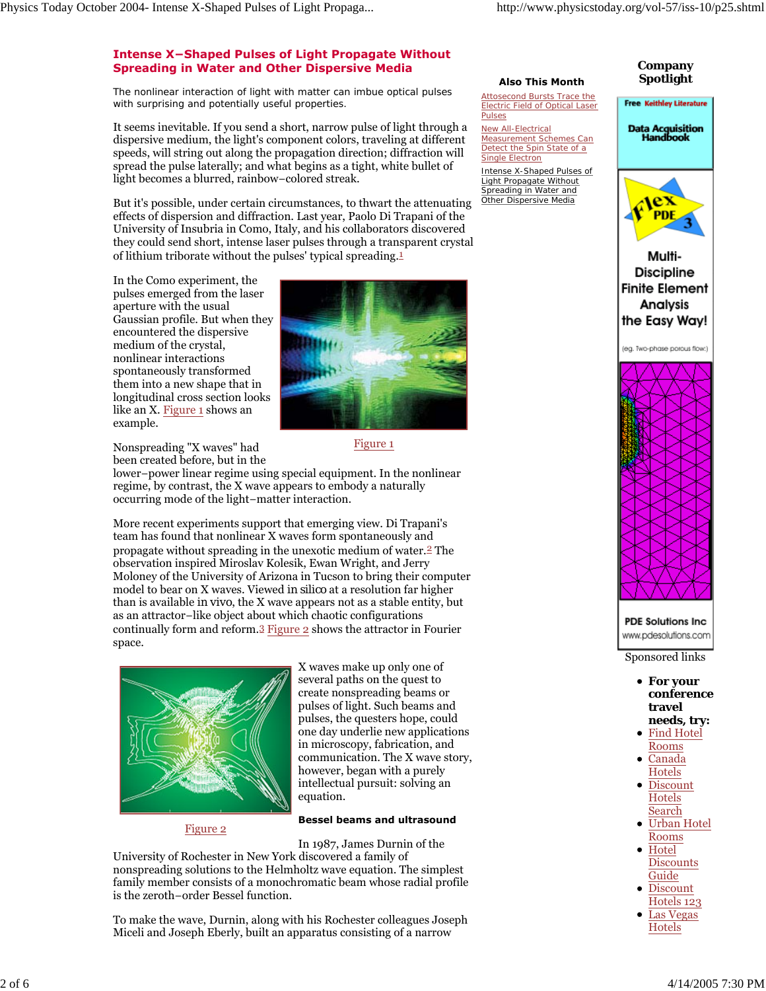# **Intense X−Shaped Pulses of Light Propagate Without Spreading in Water and Other Dispersive Media**

The nonlinear interaction of light with matter can imbue optical pulses with surprising and potentially useful properties.

It seems inevitable. If you send a short, narrow pulse of light through a dispersive medium, the light's component colors, traveling at different speeds, will string out along the propagation direction; diffraction will spread the pulse laterally; and what begins as a tight, white bullet of light becomes a blurred, rainbow−colored streak.

But it's possible, under certain circumstances, to thwart the attenuating effects of dispersion and diffraction. Last year, Paolo Di Trapani of the University of Insubria in Como, Italy, and his collaborators discovered they could send short, intense laser pulses through a transparent crystal of lithium triborate without the pulses' typical spreading.1

In the Como experiment, the pulses emerged from the laser aperture with the usual Gaussian profile. But when they encountered the dispersive medium of the crystal, nonlinear interactions spontaneously transformed them into a new shape that in longitudinal cross section looks like an X. Figure 1 shows an example.



Figure 1

Nonspreading "X waves" had been created before, but in the

lower−power linear regime using special equipment. In the nonlinear regime, by contrast, the X wave appears to embody a naturally occurring mode of the light−matter interaction.

More recent experiments support that emerging view. Di Trapani's team has found that nonlinear X waves form spontaneously and propagate without spreading in the unexotic medium of water.2 The observation inspired Miroslav Kolesik, Ewan Wright, and Jerry Moloney of the University of Arizona in Tucson to bring their computer model to bear on X waves. Viewed *in silico* at a resolution far higher than is available *in vivo*, the X wave appears not as a stable entity, but as an attractor−like object about which chaotic configurations continually form and reform.3 Figure 2 shows the attractor in Fourier space.



X waves make up only one of several paths on the quest to create nonspreading beams or pulses of light. Such beams and pulses, the questers hope, could one day underlie new applications in microscopy, fabrication, and communication. The X wave story, however, began with a purely intellectual pursuit: solving an equation.

## **Bessel beams and ultrasound**

Figure 2

In 1987, James Durnin of the

University of Rochester in New York discovered a family of nonspreading solutions to the Helmholtz wave equation. The simplest family member consists of a monochromatic beam whose radial profile is the zeroth−order Bessel function.

To make the wave, Durnin, along with his Rochester colleagues Joseph Miceli and Joseph Eberly, built an apparatus consisting of a narrow

#### **Also This Month Company Spotlight**

**Free Keithley Literature** 

**Data Acquisition<br>Handbook** 



New All-Electrical Measurement Schemes Can Detect the Spin State of a Single Electron Intense X-Shaped Pulses of

Light Propagate Without Spreading in Water and Other Dispersive Media



Sponsored links

- **For your conference travel needs, try:**
- Find Hotel Rooms
- Canada Hotels
- Discount **Hotels** Search Urban Hotel
- Rooms Hotel
- **Discounts** Guide Discount
- Hotels 123
- Las Vegas Hotels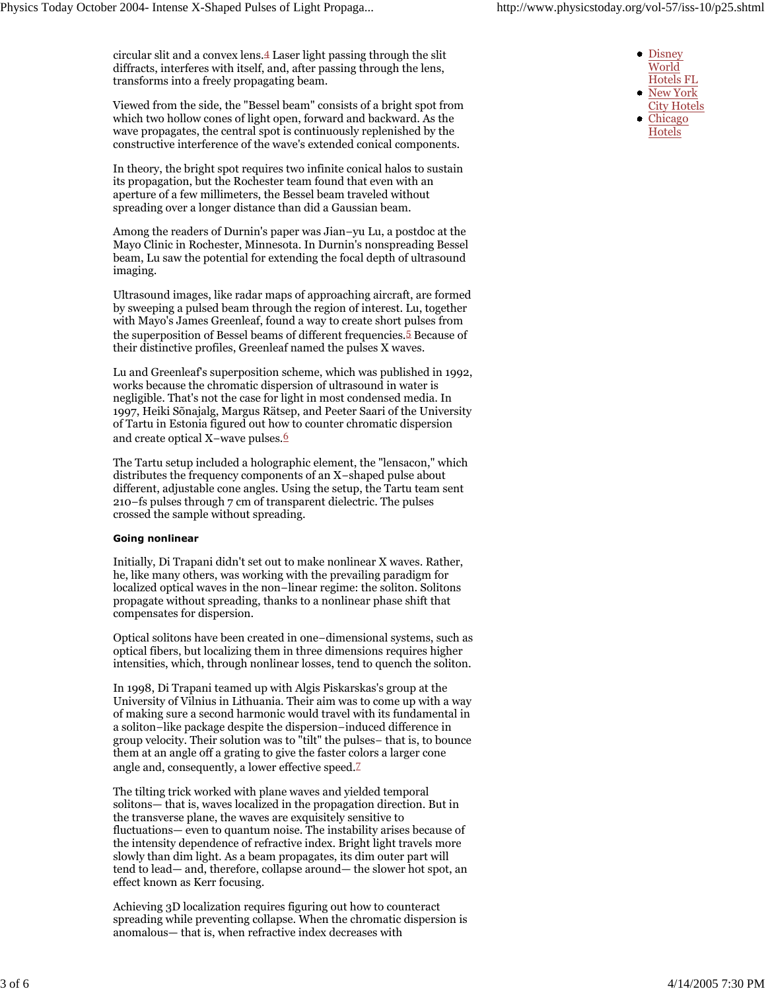circular slit and a convex lens.4 Laser light passing through the slit diffracts, interferes with itself, and, after passing through the lens, transforms into a freely propagating beam.

Viewed from the side, the "Bessel beam" consists of a bright spot from which two hollow cones of light open, forward and backward. As the wave propagates, the central spot is continuously replenished by the constructive interference of the wave's extended conical components.

In theory, the bright spot requires two infinite conical halos to sustain its propagation, but the Rochester team found that even with an aperture of a few millimeters, the Bessel beam traveled without spreading over a longer distance than did a Gaussian beam.

Among the readers of Durnin's paper was Jian−yu Lu, a postdoc at the Mayo Clinic in Rochester, Minnesota. In Durnin's nonspreading Bessel beam, Lu saw the potential for extending the focal depth of ultrasound imaging.

Ultrasound images, like radar maps of approaching aircraft, are formed by sweeping a pulsed beam through the region of interest. Lu, together with Mayo's James Greenleaf, found a way to create short pulses from the superposition of Bessel beams of different frequencies.<sup>5</sup> Because of their distinctive profiles, Greenleaf named the pulses X waves.

Lu and Greenleaf's superposition scheme, which was published in 1992, works because the chromatic dispersion of ultrasound in water is negligible. That's not the case for light in most condensed media. In 1997, Heiki Sõnajalg, Margus Rätsep, and Peeter Saari of the University of Tartu in Estonia figured out how to counter chromatic dispersion and create optical X−wave pulses.6

The Tartu setup included a holographic element, the "lensacon," which distributes the frequency components of an X−shaped pulse about different, adjustable cone angles. Using the setup, the Tartu team sent 210−fs pulses through 7 cm of transparent dielectric. The pulses crossed the sample without spreading.

#### **Going nonlinear**

Initially, Di Trapani didn't set out to make nonlinear X waves. Rather, he, like many others, was working with the prevailing paradigm for localized optical waves in the non−linear regime: the soliton. Solitons propagate without spreading, thanks to a nonlinear phase shift that compensates for dispersion.

Optical solitons have been created in one−dimensional systems, such as optical fibers, but localizing them in three dimensions requires higher intensities, which, through nonlinear losses, tend to quench the soliton.

In 1998, Di Trapani teamed up with Algis Piskarskas's group at the University of Vilnius in Lithuania. Their aim was to come up with a way of making sure a second harmonic would travel with its fundamental in a soliton−like package despite the dispersion−induced difference in group velocity. Their solution was to "tilt" the pulses− that is, to bounce them at an angle off a grating to give the faster colors a larger cone angle and, consequently, a lower effective speed.7

The tilting trick worked with plane waves and yielded temporal solitons— that is, waves localized in the propagation direction. But in the transverse plane, the waves are exquisitely sensitive to fluctuations— even to quantum noise. The instability arises because of the intensity dependence of refractive index. Bright light travels more slowly than dim light. As a beam propagates, its dim outer part will tend to lead— and, therefore, collapse around— the slower hot spot, an effect known as Kerr focusing.

Achieving 3D localization requires figuring out how to counteract spreading while preventing collapse. When the chromatic dispersion is anomalous— that is, when refractive index decreases with

- Disney World Hotels FL
- New York
- City Hotels
- Chicago Hotels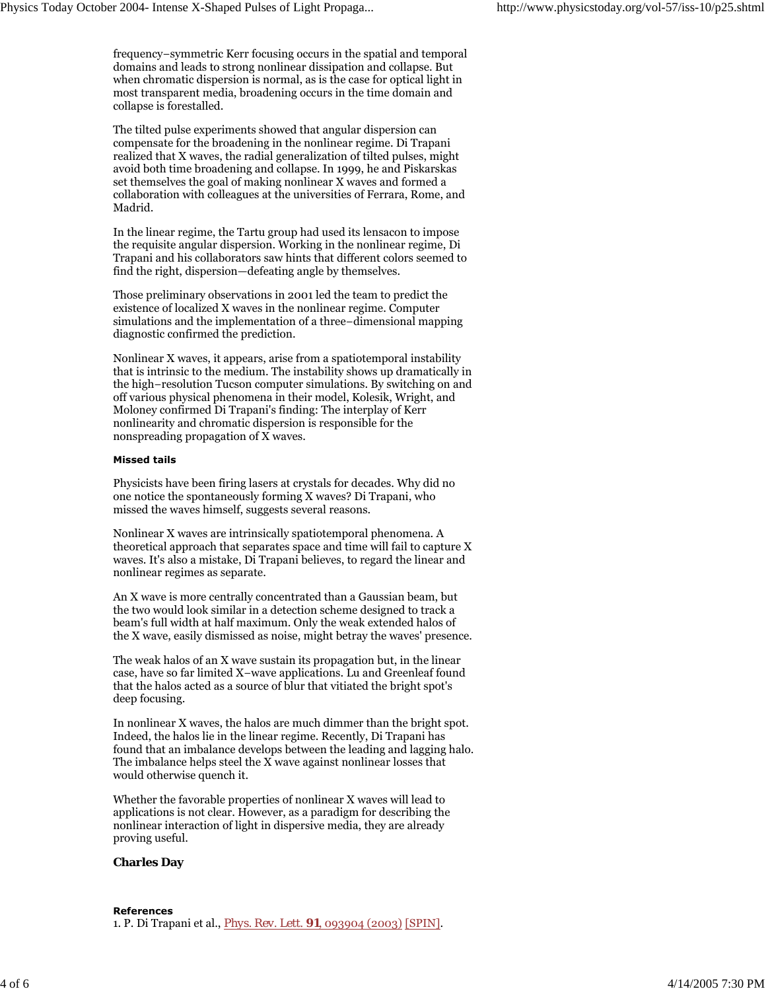frequency−symmetric Kerr focusing occurs in the spatial and temporal domains and leads to strong nonlinear dissipation and collapse. But when chromatic dispersion is normal, as is the case for optical light in most transparent media, broadening occurs in the time domain and collapse is forestalled.

The tilted pulse experiments showed that angular dispersion can compensate for the broadening in the nonlinear regime. Di Trapani realized that X waves, the radial generalization of tilted pulses, might avoid both time broadening and collapse. In 1999, he and Piskarskas set themselves the goal of making nonlinear X waves and formed a collaboration with colleagues at the universities of Ferrara, Rome, and Madrid.

In the linear regime, the Tartu group had used its lensacon to impose the requisite angular dispersion. Working in the nonlinear regime, Di Trapani and his collaborators saw hints that different colors seemed to find the right, dispersion—defeating angle by themselves.

Those preliminary observations in 2001 led the team to predict the existence of localized X waves in the nonlinear regime. Computer simulations and the implementation of a three−dimensional mapping diagnostic confirmed the prediction.

Nonlinear X waves, it appears, arise from a spatiotemporal instability that is intrinsic to the medium. The instability shows up dramatically in the high−resolution Tucson computer simulations. By switching on and off various physical phenomena in their model, Kolesik, Wright, and Moloney confirmed Di Trapani's finding: The interplay of Kerr nonlinearity and chromatic dispersion is responsible for the nonspreading propagation of X waves.

### **Missed tails**

Physicists have been firing lasers at crystals for decades. Why did no one notice the spontaneously forming X waves? Di Trapani, who missed the waves himself, suggests several reasons.

Nonlinear X waves are intrinsically spatiotemporal phenomena. A theoretical approach that separates space and time will fail to capture X waves. It's also a mistake, Di Trapani believes, to regard the linear and nonlinear regimes as separate.

An X wave is more centrally concentrated than a Gaussian beam, but the two would look similar in a detection scheme designed to track a beam's full width at half maximum. Only the weak extended halos of the X wave, easily dismissed as noise, might betray the waves' presence.

The weak halos of an X wave sustain its propagation but, in the linear case, have so far limited X−wave applications. Lu and Greenleaf found that the halos acted as a source of blur that vitiated the bright spot's deep focusing.

In nonlinear X waves, the halos are much dimmer than the bright spot. Indeed, the halos lie in the linear regime. Recently, Di Trapani has found that an imbalance develops between the leading and lagging halo. The imbalance helps steel the X wave against nonlinear losses that would otherwise quench it.

Whether the favorable properties of nonlinear X waves will lead to applications is not clear. However, as a paradigm for describing the nonlinear interaction of light in dispersive media, they are already proving useful.

## **Charles Day**

#### **References**

1. P. Di Trapani et al., *Phys. Rev. Lett.* **91**, 093904 (2003) [SPIN].